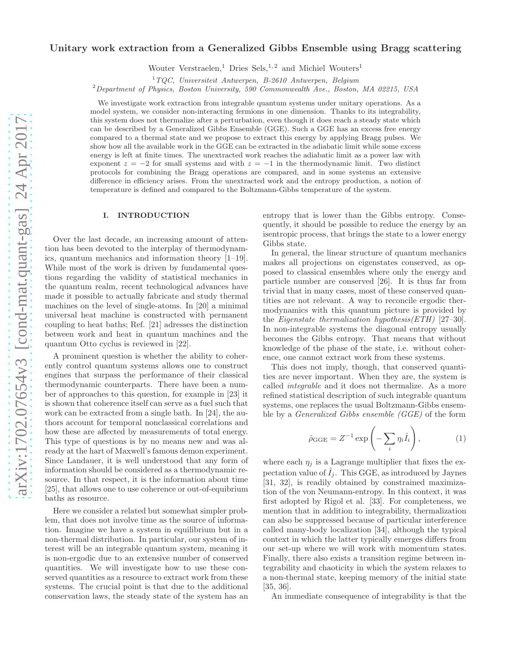# Unitary work extraction from a Generalized Gibbs Ensemble using Bragg scattering

Wouter Verstraelen,<sup>1</sup> Dries Sels,<sup>1,2</sup> and Michiel Wouters<sup>1</sup>

<sup>1</sup>*TQC, Universiteit Antwerpen, B-2610 Antwerpen, Belgium*

<sup>2</sup>*Department of Physics, Boston University, 590 Commonwealth Ave., Boston, MA 02215, USA*

We investigate work extraction from integrable quantum systems under unitary operations. As a model system, we consider non-interacting fermions in one dimension. Thanks to its integrability, this system does not thermalize after a perturbation, even though it does reach a steady state which can be described by a Generalized Gibbs Ensemble (GGE). Such a GGE has an excess free energy compared to a thermal state and we propose to extract this energy by applying Bragg pulses. We show how all the available work in the GGE can be extracted in the adiabatic limit while some excess energy is left at finite times. The unextracted work reaches the adiabatic limit as a power law with exponent  $z = -2$  for small systems and with  $z = -1$  in the thermodynamic limit. Two distinct protocols for combining the Bragg operations are compared, and in some systems an extensive difference in efficiency arises. From the unextracted work and the entropy production, a notion of temperature is defined and compared to the Boltzmann-Gibbs temperature of the system.

### I. INTRODUCTION

Over the last decade, an increasing amount of attention has been devoted to the interplay of thermodynamics, quantum mechanics and information theory [1–19]. While most of the work is driven by fundamental questions regarding the validity of statistical mechanics in the quantum realm, recent technological advances have made it possible to actually fabricate and study thermal machines on the level of single-atoms. In [20] a minimal universal heat machine is constructed with permanent coupling to heat baths; Ref. [21] adresses the distinction between work and heat in quantum machines and the quantum Otto cyclus is reviewed in [22].

A prominent question is whether the ability to coherently control quantum systems allows one to construct engines that surpass the performance of their classical thermodynamic counterparts. There have been a number of approaches to this question, for example in [23] it is shown that coherence itself can serve as a fuel such that work can be extracted from a single bath. In [24], the authors account for temporal nonclassical correlations and how these are affected by measurements of total energy. This type of questions is by no means new and was already at the hart of Maxwell's famous demon experiment. Since Landauer, it is well understood that any form of information should be considered as a thermodynamic resource. In that respect, it is the information about time [25], that allows one to use coherence or out-of-equibrium baths as resource.

Here we consider a related but somewhat simpler problem, that does not involve time as the source of information. Imagine we have a system in equilibrium but in a non-thermal distribution. In particular, our system of interest will be an integrable quantum system, meaning it is non-ergodic due to an extensive number of conserved quantities. We will investigate how to use these conserved quantities as a resource to extract work from these systems. The crucial point is that due to the additional conservation laws, the steady state of the system has an

entropy that is lower than the Gibbs entropy. Consequently, it should be possible to reduce the energy by an isentropic process, that brings the state to a lower energy Gibbs state.

In general, the linear structure of quantum mechanics makes all projections on eigenstates conserved, as opposed to classical ensembles where only the energy and particle number are conserved [26]. It is thus far from trivial that in many cases, most of these conserved quantities are not relevant. A way to reconcile ergodic thermodynamics with this quantum picture is provided by the Eigenstate thermalization hypothesis(ETH) [27–30]. In non-integrable systems the diagonal entropy usually becomes the Gibbs entropy. That means that without knowledge of the phase of the state, i.e. without coherence, one cannot extract work from these systems.

This does not imply, though, that conserved quantities are never important. When they are, the system is called integrable and it does not thermalize. As a more refined statistical description of such integrable quantum systems, one replaces the usual Boltzmann-Gibbs ensemble by a Generalized Gibbs ensemble (GGE) of the form

$$
\hat{\rho}_{GGE} = Z^{-1} \exp\left(-\sum_{i} \eta_i \hat{I}_i\right),\tag{1}
$$

where each  $\eta_i$  is a Lagrange multiplier that fixes the expectation value of  $I_i$ . This GGE, as introduced by Jaynes [31, 32], is readily obtained by constrained maximization of the von Neumann-entropy. In this context, it was first adopted by Rigol et al. [33]. For completeness, we mention that in addition to integrability, thermalization can also be suppressed because of particular interference called many-body localization [34], although the typical context in which the latter typically emerges differs from our set-up where we will work with momentum states. Finally, there also exists a transition regime between integrability and chaoticity in which the system relaxes to a non-thermal state, keeping memory of the initial state [35, 36].

An immediate consequence of integrability is that the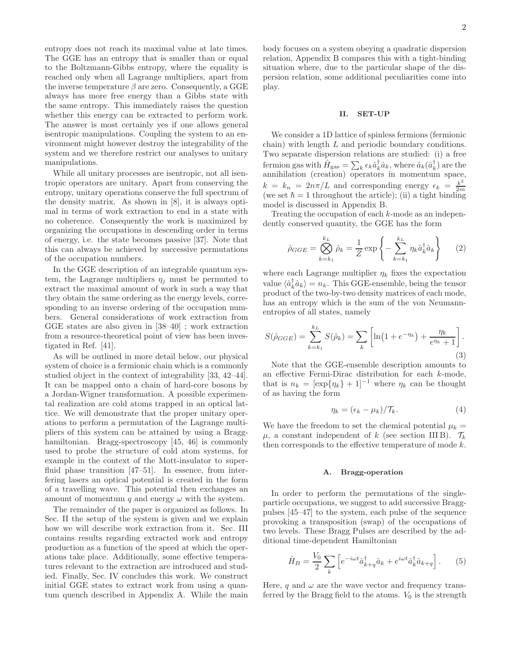entropy does not reach its maximal value at late times. The GGE has an entropy that is smaller than or equal to the Boltzmann-Gibbs entropy, where the equality is reached only when all Lagrange multipliers, apart from the inverse temperature  $\beta$  are zero. Consequently, a GGE always has more free energy than a Gibbs state with the same entropy. This immediately raises the question whether this energy can be extracted to perform work. The answer is most certainly yes if one allows general isentropic manipulations. Coupling the system to an environment might however destroy the integrability of the system and we therefore restrict our analyses to unitary manipulations.

While all unitary processes are isentropic, not all isentropic operators are unitary. Apart from conserving the entropy, unitary operations conserve the full spectrum of the density matrix. As shown in [8], it is always optimal in terms of work extraction to end in a state with no coherence. Consequently the work is maximized by organizing the occupations in descending order in terms of energy, i.e. the state becomes passive [37]. Note that this can always be achieved by successive permutations of the occupation numbers.

In the GGE description of an integrable quantum system, the Lagrange multipliers  $\eta_i$  must be permuted to extract the maximal amount of work in such a way that they obtain the same ordering as the energy levels, corresponding to an inverse ordering of the occupation numbers. General considerations of work extraction from GGE states are also given in [38–40] ; work extraction from a resource-theoretical point of view has been investigated in Ref. [41].

As will be outlined in more detail below, our physical system of choice is a fermionic chain which is a commonly studied object in the context of integrability [33, 42–44]. It can be mapped onto a chain of hard-core bosons by a Jordan-Wigner transformation. A possible experimental realization are cold atoms trapped in an optical lattice. We will demonstrate that the proper unitary operations to perform a permutation of the Lagrange multipliers of this system can be attained by using a Bragghamiltonian. Bragg-spectroscopy [45, 46] is commonly used to probe the structure of cold atom systems, for example in the context of the Mott-insulator to superfluid phase transition [47–51]. In essence, from interfering lasers an optical potential is created in the form of a travelling wave. This potential then exchanges an amount of momentum q and energy  $\omega$  with the system.

The remainder of the paper is organized as follows. In Sec. II the setup of the system is given and we explain how we will describe work extraction from it. Sec. III contains results regarding extracted work and entropy production as a function of the speed at which the operations take place. Additionally, some effective temperatures relevant to the extraction are introduced and studied. Finally, Sec. IV concludes this work. We construct initial GGE states to extract work from using a quantum quench described in Appendix A. While the main

body focuses on a system obeying a quadratic dispersion relation, Appendix B compares this with a tight-binding situation where, due to the particular shape of the dispersion relation, some additional peculiarities come into play.

## II. SET-UP

We consider a 1D lattice of spinless fermions (fermionic chain) with length L and periodic boundary conditions. Two separate dispersion relations are studied: (i) a free fermion gas with  $\hat{H}_{\text{gas}} = \sum_{k} \epsilon_k \hat{a}_k^{\dagger} \hat{a}_k$ , where  $\hat{a}_k(\hat{a}_k^{\dagger})$  are the annihilation (creation) operators in momentum space,  $k = k_n = 2n\pi/L$  and corresponding energy  $\epsilon_k = \frac{k^2}{2n}$ 2m (we set  $\hbar = 1$  throughout the article); (ii) a tight binding model is discussed in Appendix B.

Treating the occupation of each  $k$ -mode as an independently conserved quantity, the GGE has the form

$$
\hat{\rho}_{GGE} = \bigotimes_{k=k_1}^{k_L} \hat{\rho}_k = \frac{1}{Z} \exp\left\{-\sum_{k=k_1}^{k_L} \eta_k \hat{a}_k^{\dagger} \hat{a}_k\right\} \qquad (2)
$$

where each Lagrange multiplier  $\eta_k$  fixes the expectation value  $\langle \hat{a}_k^{\dagger} \hat{a}_k \rangle = n_k$ . This GGE-ensemble, being the tensor product of the two-by-two density matrices of each mode, has an entropy which is the sum of the von Neumannentropies of all states, namely

$$
S(\hat{\rho}_{GGE}) = \sum_{k=k_1}^{k_L} S(\hat{\rho}_k) = \sum_k \left[ \ln(1 + e^{-\eta_k}) + \frac{\eta_k}{e^{\eta_k} + 1} \right].
$$
\n(3)

Note that the GGE-ensemble description amounts to an effective Fermi-Dirac distribution for each k-mode, that is  $n_k = [\exp{\eta_k} + 1]^{-1}$  where  $\eta_k$  can be thought of as having the form

$$
\eta_k = (\epsilon_k - \mu_k) / \mathcal{T}_k. \tag{4}
$$

We have the freedom to set the chemical potential  $\mu_k =$  $\mu$ , a constant independent of k (see section III B).  $\mathcal{T}_k$ then corresponds to the effective temperature of mode k.

### A. Bragg-operation

In order to perform the permutations of the singleparticle occupations, we suggest to add successive Braggpulses [45–47] to the system, each pulse of the sequence provoking a transposition (swap) of the occupations of two levels. These Bragg Pulses are described by the additional time-dependent Hamiltonian

$$
\hat{H}_B = \frac{V_0}{2} \sum_k \left[ e^{-i\omega t} \hat{a}^\dagger_{k+q} \hat{a}_k + e^{i\omega t} \hat{a}^\dagger_k \hat{a}_{k+q} \right]. \tag{5}
$$

Here, q and  $\omega$  are the wave vector and frequency transferred by the Bragg field to the atoms.  $V_0$  is the strength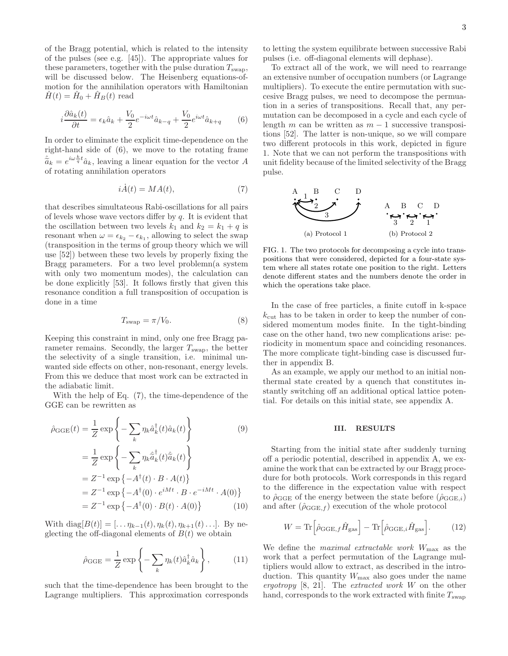of the Bragg potential, which is related to the intensity of the pulses (see e.g. [45]). The appropriate values for these parameters, together with the pulse duration  $T_{swap}$ , will be discussed below. The Heisenberg equations-ofmotion for the annihilation operators with Hamiltonian  $\hat{H}(t) = \hat{H}_0 + \hat{H}_B(t)$  read

$$
i\frac{\partial \hat{a}_k(t)}{\partial t} = \epsilon_k \hat{a}_k + \frac{V_0}{2} e^{-i\omega t} \hat{a}_{k-q} + \frac{V_0}{2} e^{i\omega t} \hat{a}_{k+q} \qquad (6)
$$

In order to eliminate the explicit time-dependence on the right-hand side of (6), we move to the rotating frame  $\hat{a}_k = e^{i\omega \frac{k}{q}t} \hat{a}_k$ , leaving a linear equation for the vector A of rotating annihilation operators

$$
i\dot{A}(t) = MA(t),\tag{7}
$$

that describes simultateous Rabi-oscillations for all pairs of levels whose wave vectors differ by  $q$ . It is evident that the oscillation between two levels  $k_1$  and  $k_2 = k_1 + q$  is resonant when  $\omega = \epsilon_{k_2} - \epsilon_{k_1}$ , allowing to select the swap (transposition in the terms of group theory which we will use [52]) between these two levels by properly fixing the Bragg parameters. For a two level problemn(a system with only two momentum modes), the calculation can be done explicitly [53]. It follows firstly that given this resonance condition a full transposition of occupation is done in a time

$$
T_{\text{swap}} = \pi / V_0. \tag{8}
$$

Keeping this constraint in mind, only one free Bragg parameter remains. Secondly, the larger  $T_{swap}$ , the better the selectivity of a single transition, i.e. minimal unwanted side effects on other, non-resonant, energy levels. From this we deduce that most work can be extracted in the adiabatic limit.

With the help of Eq. (7), the time-dependence of the GGE can be rewritten as

$$
\hat{\rho}_{GGE}(t) = \frac{1}{Z} \exp \left\{ -\sum_{k} \eta_k \hat{a}_k^{\dagger}(t) \hat{a}_k(t) \right\} \n= \frac{1}{Z} \exp \left\{ -\sum_{k} \eta_k \hat{\tilde{a}}_k^{\dagger}(t) \hat{\tilde{a}}_k(t) \right\} \n= Z^{-1} \exp \left\{ -A^{\dagger}(t) \cdot B \cdot A(t) \right\} \n= Z^{-1} \exp \left\{ -A^{\dagger}(0) \cdot e^{iMt} \cdot B \cdot e^{-iMt} \cdot A(0) \right\} \n= Z^{-1} \exp \left\{ -A^{\dagger}(0) \cdot B(t) \cdot A(0) \right\}
$$
\n(10)

With diag $[B(t)] = [\dots \eta_{k-1}(t), \eta_k(t), \eta_{k+1}(t) \dots]$ . By neglecting the off-diagonal elements of  $B(t)$  we obtain

$$
\hat{\rho}_{GGE} = \frac{1}{Z} \exp\left\{-\sum_{k} \eta_k(t)\hat{a}_k^\dagger \hat{a}_k\right\},\qquad(11)
$$

such that the time-dependence has been brought to the Lagrange multipliers. This approximation corresponds

to letting the system equilibrate between successive Rabi pulses (i.e. off-diagonal elements will dephase).

To extract all of the work, we will need to rearrange an extensive number of occupation numbers (or Lagrange multipliers). To execute the entire permutation with succesive Bragg pulses, we need to decompose the permuation in a series of transpositions. Recall that, any permutation can be decomposed in a cycle and each cycle of length m can be written as  $m - 1$  successive transpositions [52]. The latter is non-unique, so we will compare two different protocols in this work, depicted in figure 1. Note that we can not perform the transpositions with unit fidelity because of the limited selectivity of the Bragg pulse.



FIG. 1. The two protocols for decomposing a cycle into transpositions that were considered, depicted for a four-state system where all states rotate one position to the right. Letters denote different states and the numbers denote the order in which the operations take place.

In the case of free particles, a finite cutoff in k-space  $k_{\text{cut}}$  has to be taken in order to keep the number of considered momentum modes finite. In the tight-binding case on the other hand, two new complications arise: periodicity in momentum space and coinciding resonances. The more complicate tight-binding case is discussed further in appendix B.

As an example, we apply our method to an initial nonthermal state created by a quench that constitutes instantly switching off an additional optical lattice potential. For details on this initial state, see appendix A.

#### III. RESULTS

Starting from the initial state after suddenly turning off a periodic potential, described in appendix A, we examine the work that can be extracted by our Bragg procedure for both protocols. Work corresponds in this regard to the difference in the expectation value with respect to  $\hat{\rho}_{GGE}$  of the energy between the state before  $(\hat{\rho}_{GGE,i})$ and after  $(\hat{\rho}_{GGE,f})$  execution of the whole protocol

$$
W = \text{Tr}\left[\hat{\rho}_{\text{GGE},f}\hat{H}_{\text{gas}}\right] - \text{Tr}\left[\hat{\rho}_{\text{GGE},i}\hat{H}_{\text{gas}}\right].\tag{12}
$$

We define the *maximal extractable work*  $W_{\text{max}}$  as the work that a perfect permutation of the Lagrange multipliers would allow to extract, as described in the introduction. This quantity  $W_{\text{max}}$  also goes under the name ergotropy  $[8, 21]$ . The extracted work W on the other hand, corresponds to the work extracted with finite  $T_{swap}$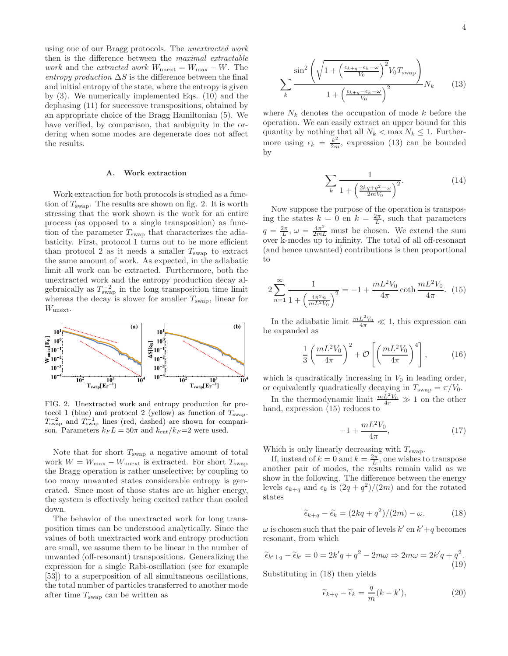using one of our Bragg protocols. The unextracted work then is the difference between the maximal extractable *work* and the *extracted work*  $W_{\text{unext}} = W_{\text{max}} - W$ . The entropy production  $\Delta S$  is the difference between the final and initial entropy of the state, where the entropy is given by (3). We numerically implemented Eqs. (10) and the dephasing (11) for successive transpositions, obtained by an appropriate choice of the Bragg Hamiltonian (5). We have verified, by comparison, that ambiguity in the ordering when some modes are degenerate does not affect the results.

## A. Work extraction

Work extraction for both protocols is studied as a function of  $T_{swap}$ . The results are shown on fig. 2. It is worth stressing that the work shown is the work for an entire process (as opposed to a single transposition) as function of the parameter  $T_{swap}$  that characterizes the adiabaticity. First, protocol 1 turns out to be more efficient than protocol 2 as it needs a smaller  $T_{swap}$  to extract the same amount of work. As expected, in the adiabatic limit all work can be extracted. Furthermore, both the unextracted work and the entropy production decay algebraically as  $T_{\text{swap}}^{-2}$  in the long transposition time limit whereas the decay is slower for smaller  $T_{\text{swap}}$ , linear for  $W_{\text{unext}}$ .



FIG. 2. Unextracted work and entropy production for protocol 1 (blue) and protocol 2 (yellow) as function of  $T_{swap}$ .  $T_{\text{swap}}^{-2}$  and  $T_{\text{swap}}^{-1}$  lines (red, dashed) are shown for comparison. Parameters  $k_F L = 50\pi$  and  $k_{\text{cut}}/k_F = 2$  were used.

Note that for short  $T_{swap}$  a negative amount of total work  $W = W_{\text{max}} - W_{\text{unext}}$  is extracted. For short  $T_{\text{swap}}$ the Bragg operation is rather unselective; by coupling to too many unwanted states considerable entropy is generated. Since most of those states are at higher energy, the system is effectively being excited rather than cooled down.

The behavior of the unextracted work for long transposition times can be understood analytically. Since the values of both unextracted work and entropy production are small, we assume them to be linear in the number of unwanted (off-resonant) transpositions. Generalizing the expression for a single Rabi-oscillation (see for example [53]) to a superposition of all simultaneous oscillations, the total number of particles transferred to another mode after time  $T_{swap}$  can be written as

$$
\sum_{k} \frac{\sin^2\left(\sqrt{1 + \left(\frac{\epsilon_{k+q} - \epsilon_k - \omega}{V_0}\right)^2} V_0 T_{\text{swap}}\right)}{1 + \left(\frac{\epsilon_{k+q} - \epsilon_k - \omega}{V_0}\right)^2} N_k \tag{13}
$$

where  $N_k$  denotes the occupation of mode k before the operation. We can easily extract an upper bound for this quantity by nothing that all  $N_k < \max N_k \leq 1$ . Furthermore using  $\epsilon_k = \frac{k^2}{2m}$ , expression (13) can be bounded by

$$
\sum_{k} \frac{1}{1 + \left(\frac{2kq + q^2 - \omega}{2mV_0}\right)^2}.
$$
 (14)

Now suppose the purpose of the operation is transposing the states  $k = 0$  en  $k = \frac{2\pi}{L}$ , such that parameters  $q = \frac{2\pi}{L}, \omega = \frac{4\pi^2}{2mL}$  must be chosen. We extend the sum over k-modes up to infinity. The total of all off-resonant (and hence unwanted) contributions is then proportional to

$$
2\sum_{n=1}^{\infty} \frac{1}{1 + \left(\frac{4\pi^2 n}{mL^2 V_0}\right)^2} = -1 + \frac{mL^2 V_0}{4\pi} \coth \frac{mL^2 V_0}{4\pi}.
$$
 (15)

In the adiabatic limit  $\frac{mL^2V_0}{4\pi} \ll 1$ , this expression can be expanded as

$$
\frac{1}{3} \left( \frac{mL^2 V_0}{4\pi} \right)^2 + \mathcal{O}\left[ \left( \frac{mL^2 V_0}{4\pi} \right)^4 \right],\tag{16}
$$

which is quadratically increasing in  $V_0$  in leading order, or equivalently quadratically decaying in  $T_{\text{swap}} = \pi/V_0$ .

In the thermodynamic limit  $\frac{mL^2V_0}{4\pi} \gg 1$  on the other hand, expression (15) reduces to

$$
-1 + \frac{mL^2V_0}{4\pi},\tag{17}
$$

Which is only linearly decreasing with  $T_{\text{swap}}$ .

If, instead of  $k = 0$  and  $k = \frac{2\pi}{L}$ , one wishes to transpose another pair of modes, the results remain valid as we show in the following. The difference between the energy levels  $\epsilon_{k+q}$  and  $\epsilon_k$  is  $\left(\frac{2q+q^2}{2m}\right)$  and for the rotated states

$$
\widetilde{\epsilon}_{k+q} - \widetilde{\epsilon}_k = \frac{2kq + q^2}{(2m)} - \omega.
$$
 (18)

 $\omega$  is chosen such that the pair of levels  $k'$  en  $k' + q$  becomes resonant, from which

$$
\widetilde{\epsilon}_{k'+q} - \widetilde{\epsilon}_{k'} = 0 = 2k'q + q^2 - 2m\omega \Rightarrow 2m\omega = 2k'q + q^2.
$$
\n(19)

Substituting in (18) then yields

$$
\widetilde{\epsilon}_{k+q} - \widetilde{\epsilon}_k = \frac{q}{m}(k - k'),\tag{20}
$$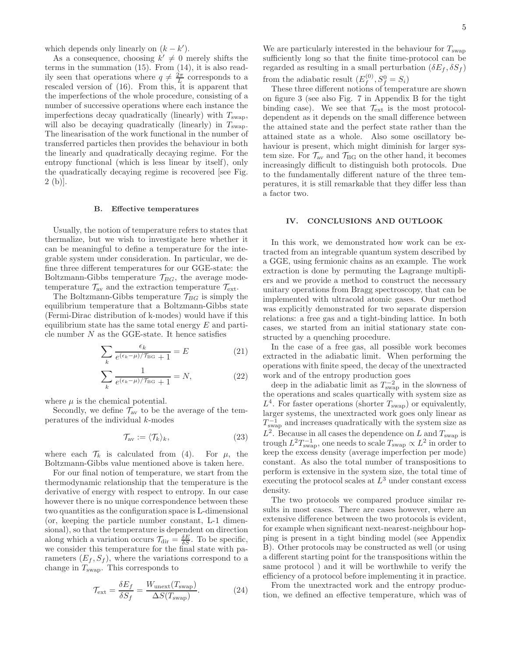which depends only linearly on  $(k - k')$ .

As a consequence, choosing  $k' \neq 0$  merely shifts the terms in the summation (15). From (14), it is also readily seen that operations where  $q \neq \frac{2\pi}{L}$  corresponds to a rescaled version of (16). From this, it is apparent that the imperfections of the whole procedure, consisting of a number of successive operations where each instance the imperfections decay quadratically (linearly) with  $T_{\text{swap}}$ , will also be decaying quadratically (linearly) in  $T_{\text{swap}}$ . The linearisation of the work functional in the number of transferred particles then provides the behaviour in both the linearly and quadratically decaying regime. For the entropy functional (which is less linear by itself), only the quadratically decaying regime is recovered [see Fig. 2 (b)].

#### B. Effective temperatures

Usually, the notion of temperature refers to states that thermalize, but we wish to investigate here whether it can be meaningful to define a temperature for the integrable system under consideration. In particular, we define three different temperatures for our GGE-state: the Boltzmann-Gibbs temperature  $\mathcal{T}_{BG}$ , the average modetemperature  $\mathcal{T}_{\text{av}}$  and the extraction temperature  $\mathcal{T}_{\text{ext}}$ .

The Boltzmann-Gibbs temperature  $\mathcal{T}_{BG}$  is simply the equilibrium temperature that a Boltzmann-Gibbs state (Fermi-Dirac distribution of k-modes) would have if this equilibrium state has the same total energy  $E$  and particle number  $N$  as the GGE-state. It hence satisfies

$$
\sum_{k} \frac{\epsilon_k}{e^{(\epsilon_k - \mu)/\mathcal{T}_{\text{BG}}} + 1} = E \tag{21}
$$

$$
\sum_{k} \frac{1}{e^{(\epsilon_k - \mu)/\mathcal{T}_{\text{BG}}} + 1} = N,\tag{22}
$$

where  $\mu$  is the chemical potential.

Secondly, we define  $\mathcal{T}_{av}$  to be the average of the temperatures of the individual k-modes

$$
\mathcal{T}_{\text{av}} := \langle \mathcal{T}_k \rangle_k,\tag{23}
$$

where each  $\mathcal{T}_k$  is calculated from (4). For  $\mu$ , the Boltzmann-Gibbs value mentioned above is taken here.

For our final notion of temperature, we start from the thermodynamic relationship that the temperature is the derivative of energy with respect to entropy. In our case however there is no unique correspondence between these two quantities as the configuration space is L-dimensional (or, keeping the particle number constant, L-1 dimensional), so that the temperature is dependent on direction along which a variation occurs  $\mathcal{T}_{\text{dir}} = \frac{\delta E}{\delta S}$ . To be specific, we consider this temperature for the final state with parameters  $(E_f, S_f)$ , where the variations correspond to a change in  $T_{swap}$ . This corresponds to

$$
\mathcal{T}_{\text{ext}} = \frac{\delta E_f}{\delta S_f} = \frac{W_{\text{unext}}(T_{\text{swap}})}{\Delta S(T_{\text{swap}})}.
$$
\n(24)

We are particularly interested in the behaviour for  $T_{swap}$ sufficiently long so that the finite time-protocol can be regarded as resulting in a small perturbation  $(\delta E_f, \delta S_f)$ from the adiabatic result  $(E_f^{(0)})$  $S_f^{(0)}, S_f^0 = S_i$ 

These three different notions of temperature are shown on figure 3 (see also Fig. 7 in Appendix B for the tight binding case). We see that  $\mathcal{T}_{ext}$  is the most protocoldependent as it depends on the small difference between the attained state and the perfect state rather than the attained state as a whole. Also some oscillatory behaviour is present, which might diminish for larger system size. For  $\mathcal{T}_{av}$  and  $\mathcal{T}_{BG}$  on the other hand, it becomes increasingly difficult to distinguish both protocols. Due to the fundamentally different nature of the three temperatures, it is still remarkable that they differ less than a factor two.

#### IV. CONCLUSIONS AND OUTLOOK

In this work, we demonstrated how work can be extracted from an integrable quantum system described by a GGE, using fermionic chains as an example. The work extraction is done by permuting the Lagrange multipliers and we provide a method to construct the necessary unitary operations from Bragg spectroscopy, that can be implemented with ultracold atomic gases. Our method was explicitly demonstrated for two separate dispersion relations: a free gas and a tight-binding lattice. In both cases, we started from an initial stationary state constructed by a quenching procedure.

In the case of a free gas, all possible work becomes extracted in the adiabatic limit. When performing the operations with finite speed, the decay of the unextracted work and of the entropy production goes

deep in the adiabatic limit as  $T_{\text{swap}}^{-2}$  in the slowness of the operations and scales quartically with system size as  $L^4$ . For faster operations (shorter  $T_{swap}$ ) or equivalently, larger systems, the unextracted work goes only linear as  $T_{\text{swap}}^{-1}$  and increases quadratically with the system size as  $L^2$ . Because in all cases the dependence on L and  $T_{\text{swap}}$  is trough  $L^2T_{\text{swap}}^{-1}$ , one needs to scale  $T_{\text{swap}} \propto L^2$  in order to keep the excess density (average imperfection per mode) constant. As also the total number of transpositions to perform is extensive in the system size, the total time of executing the protocol scales at  $L^3$  under constant excess density.

The two protocols we compared produce similar results in most cases. There are cases however, where an extensive difference between the two protocols is evident, for example when significant next-nearest-neighbour hopping is present in a tight binding model (see Appendix B). Other protocols may be constructed as well (or using a different starting point for the transpositions within the same protocol ) and it will be worthwhile to verify the efficiency of a protocol before implementing it in practice.

From the unextracted work and the entropy production, we defined an effective temperature, which was of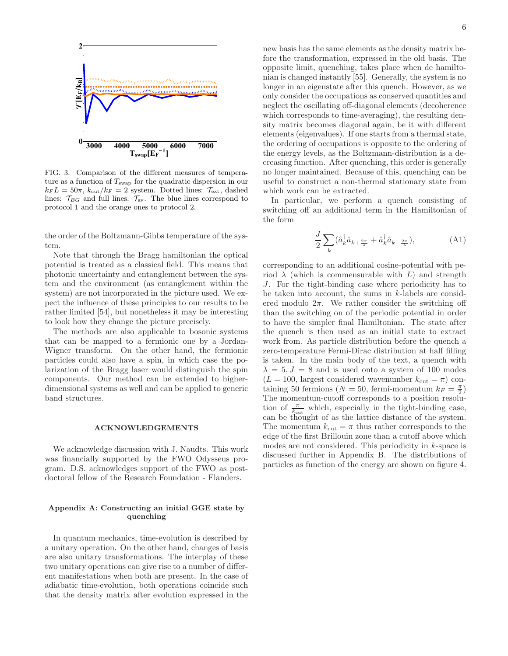

FIG. 3. Comparison of the different measures of temperature as a function of  $T_{swap}$  for the quadratic dispersion in our  $k_F L = 50\pi$ ,  $k_{\text{cut}}/k_F = 2$  system. Dotted lines:  $\mathcal{T}_{\text{ext}}$ , dashed lines:  $\mathcal{T}_{BG}$  and full lines:  $\mathcal{T}_{av}$ . The blue lines correspond to protocol 1 and the orange ones to protocol 2.

the order of the Boltzmann-Gibbs temperature of the system.

Note that through the Bragg hamiltonian the optical potential is treated as a classical field. This means that photonic uncertainty and entanglement between the system and the environment (as entanglement within the system) are not incorporated in the picture used. We expect the influence of these principles to our results to be rather limited [54], but nonetheless it may be interesting to look how they change the picture precisely.

The methods are also applicable to bosonic systems that can be mapped to a fermionic one by a Jordan-Wigner transform. On the other hand, the fermionic particles could also have a spin, in which case the polarization of the Bragg laser would distinguish the spin components. Our method can be extended to higherdimensional systems as well and can be applied to generic band structures.

#### ACKNOWLEDGEMENTS

We acknowledge discussion with J. Naudts. This work was financially supported by the FWO Odysseus program. D.S. acknowledges support of the FWO as postdoctoral fellow of the Research Foundation - Flanders.

## Appendix A: Constructing an initial GGE state by quenching

In quantum mechanics, time-evolution is described by a unitary operation. On the other hand, changes of basis are also unitary transformations. The interplay of these two unitary operations can give rise to a number of different manifestations when both are present. In the case of adiabatic time-evolution, both operations coincide such that the density matrix after evolution expressed in the new basis has the same elements as the density matrix before the transformation, expressed in the old basis. The opposite limit, quenching, takes place when de hamiltonian is changed instantly [55]. Generally, the system is no longer in an eigenstate after this quench. However, as we only consider the occupations as conserved quantities and neglect the oscillating off-diagonal elements (decoherence which corresponds to time-averaging), the resulting density matrix becomes diagonal again, be it with different elements (eigenvalues). If one starts from a thermal state, the ordering of occupations is opposite to the ordering of the energy levels, as the Boltzmann-distribution is a decreasing function. After quenching, this order is generally no longer maintained. Because of this, quenching can be useful to construct a non-thermal stationary state from which work can be extracted.

In particular, we perform a quench consisting of switching off an additional term in the Hamiltonian of the form

$$
\frac{J}{2} \sum_{k} (\hat{a}_{k}^{\dagger} \hat{a}_{k+\frac{2\pi}{\lambda}} + \hat{a}_{k}^{\dagger} \hat{a}_{k-\frac{2\pi}{\lambda}}), \tag{A1}
$$

corresponding to an additional cosine-potential with period  $\lambda$  (which is commensurable with L) and strength J. For the tight-binding case where periodicity has to be taken into account, the sums in  $k$ -labels are considered modulo  $2\pi$ . We rather consider the switching off than the switching on of the periodic potential in order to have the simpler final Hamiltonian. The state after the quench is then used as an initial state to extract work from. As particle distribution before the quench a zero-temperature Fermi-Dirac distribution at half filling is taken. In the main body of the text, a quench with  $\lambda = 5, J = 8$  and is used onto a system of 100 modes  $(L = 100, \text{largest considered wavenumber } k_{\text{cut}} = \pi)$  containing 50 fermions ( $N = 50$ , fermi-momentum  $k = \frac{\pi}{2}$ ) The momentum-cutoff corresponds to a position resolution of  $\frac{\pi}{k_{\text{cut}}}$  which, especially in the tight-binding case, can be thought of as the lattice distance of the system. The momentum  $k_{\text{cut}} = \pi$  thus rather corresponds to the edge of the first Brillouin zone than a cutoff above which modes are not considered. This periodicity in k-space is discussed further in Appendix B. The distributions of particles as function of the energy are shown on figure 4.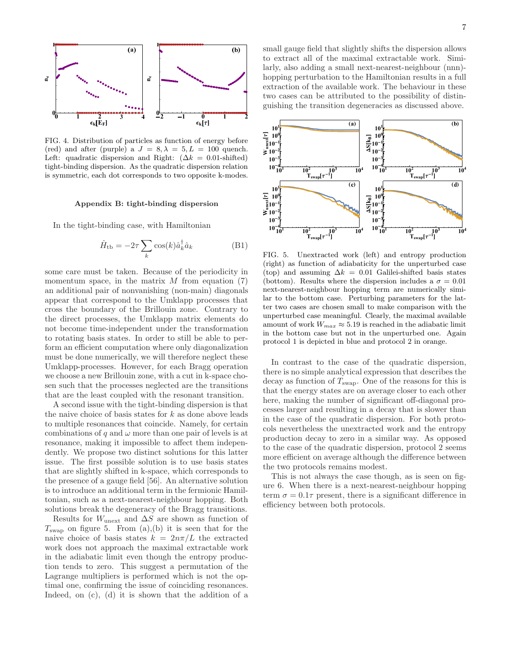

FIG. 4. Distribution of particles as function of energy before (red) and after (purple) a  $J = 8, \lambda = 5, L = 100$  quench. Left: quadratic dispersion and Right:  $(\Delta k = 0.01\text{-shifted})$ tight-binding dispersion. As the quadratic dispersion relation is symmetric, each dot corresponds to two opposite k-modes.

## Appendix B: tight-binding dispersion

In the tight-binding case, with Hamiltonian

$$
\hat{H}_{\text{tb}} = -2\tau \sum_{k} \cos(k)\hat{a}_{k}^{\dagger} \hat{a}_{k} \tag{B1}
$$

some care must be taken. Because of the periodicity in momentum space, in the matrix  $M$  from equation (7) an additional pair of nonvanishing (non-main) diagonals appear that correspond to the Umklapp processes that cross the boundary of the Brillouin zone. Contrary to the direct processes, the Umklapp matrix elements do not become time-independent under the transformation to rotating basis states. In order to still be able to perform an efficient computation where only diagonalization must be done numerically, we will therefore neglect these Umklapp-processes. However, for each Bragg operation we choose a new Brillouin zone, with a cut in k-space chosen such that the processes neglected are the transitions that are the least coupled with the resonant transition.

A second issue with the tight-binding dispersion is that the naive choice of basis states for  $k$  as done above leads to multiple resonances that coincide. Namely, for certain combinations of q and  $\omega$  more than one pair of levels is at resonance, making it impossible to affect them independently. We propose two distinct solutions for this latter issue. The first possible solution is to use basis states that are slightly shifted in k-space, which corresponds to the presence of a gauge field [56]. An alternative solution is to introduce an additional term in the fermionic Hamiltonian, such as a next-nearest-neighbour hopping. Both solutions break the degeneracy of the Bragg transitions.

Results for  $W_{\text{unext}}$  and  $\Delta S$  are shown as function of  $T_{swap}$  on figure 5. From  $(a),(b)$  it is seen that for the naive choice of basis states  $k = 2n\pi/L$  the extracted work does not approach the maximal extractable work in the adiabatic limit even though the entropy production tends to zero. This suggest a permutation of the Lagrange multipliers is performed which is not the optimal one, confirming the issue of coinciding resonances. Indeed, on (c), (d) it is shown that the addition of a

<sup>b</sup> small gauge field that slightly shifts the dispersion allows to extract all of the maximal extractable work. Similarly, also adding a small next-nearest-neighbour (nnn) hopping perturbation to the Hamiltonian results in a full extraction of the available work. The behaviour in these two cases can be attributed to the possibility of distinguishing the transition degeneracies as discussed above.



FIG. 5. Unextracted work (left) and entropy production (right) as function of adiabaticity for the unperturbed case (top) and assuming  $\Delta k = 0.01$  Galilei-shifted basis states (bottom). Results where the dispersion includes a  $\sigma = 0.01$ next-nearest-neighbour hopping term are numerically similar to the bottom case. Perturbing parameters for the latter two cases are chosen small to make comparison with the unperturbed case meaningful. Clearly, the maximal available amount of work  $W_{max} \approx 5.19$  is reached in the adiabatic limit in the bottom case but not in the unperturbed one. Again protocol 1 is depicted in blue and protocol 2 in orange.

In contrast to the case of the quadratic dispersion, there is no simple analytical expression that describes the decay as function of  $T_{swap}$ . One of the reasons for this is that the energy states are on average closer to each other here, making the number of significant off-diagonal processes larger and resulting in a decay that is slower than in the case of the quadratic dispersion. For both protocols nevertheless the unextracted work and the entropy production decay to zero in a similar way. As opposed to the case of the quadratic dispersion, protocol 2 seems more efficient on average although the difference between the two protocols remains modest.

This is not always the case though, as is seen on figure 6. When there is a next-nearest-neighbour hopping term  $\sigma = 0.1\tau$  present, there is a significant difference in efficiency between both protocols.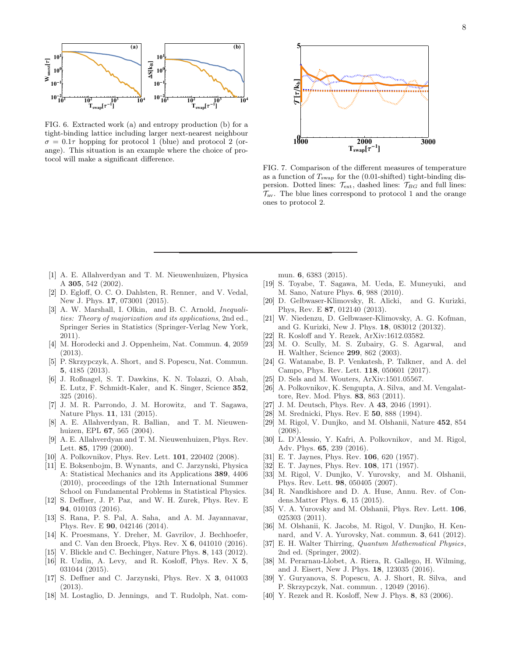

FIG. 6. Extracted work (a) and entropy production (b) for a tight-binding lattice including larger next-nearest neighbour  $\sigma = 0.1\tau$  hopping for protocol 1 (blue) and protocol 2 (orange). This situation is an example where the choice of protocol will make a significant difference.



FIG. 7. Comparison of the different measures of temperature as a function of  $T_{swap}$  for the (0.01-shifted) tight-binding dispersion. Dotted lines:  $\mathcal{T}_{ext}$ , dashed lines:  $\mathcal{T}_{BG}$  and full lines:  $\mathcal{T}_{av}$ . The blue lines correspond to protocol 1 and the orange ones to protocol 2.

- [1] A. E. Allahverdyan and T. M. Nieuwenhuizen, Physica A 305, 542 (2002).
- [2] D. Egloff, O. C. O. Dahlsten, R. Renner, and V. Vedal, New J. Phys. 17, 073001 (2015).
- [3] A. W. Marshall, I. Olkin, and B. C. Arnold, *Inequalities: Theory of majorization and its applications*, 2nd ed., Springer Series in Statistics (Springer-Verlag New York, 2011).
- [4] M. Horodecki and J. Oppenheim, Nat. Commun. 4, 2059 (2013).
- [5] P. Skrzypczyk, A. Short, and S. Popescu, Nat. Commun. 5, 4185 (2013).
- [6] J. Roßnagel, S. T. Dawkins, K. N. Tolazzi, O. Abah, E. Lutz, F. Schmidt-Kaler, and K. Singer, Science 352, 325 (2016).
- [7] J. M. R. Parrondo, J. M. Horowitz, and T. Sagawa, Nature Phys. 11, 131 (2015).
- [8] A. E. Allahverdyan, R. Ballian, and T. M. Nieuwenhuizen, EPL 67, 565 (2004).
- [9] A. E. Allahverdyan and T. M. Nieuwenhuizen, Phys. Rev. Lett. 85, 1799 (2000).
- [10] A. Polkovnikov, Phys. Rev. Lett. **101**, 220402 (2008).
- [11] E. Boksenbojm, B. Wynants, and C. Jarzynski, Physica A: Statistical Mechanics and its Applications 389, 4406 (2010), proceedings of the 12th International Summer School on Fundamental Problems in Statistical Physics.
- [12] S. Deffner, J. P. Paz, and W. H. Zurek, Phys. Rev. E 94, 010103 (2016).
- [13] S. Rana, P. S. Pal, A. Saha, and A. M. Jayannavar, Phys. Rev. E 90, 042146 (2014).
- [14] K. Proesmans, Y. Dreher, M. Gavrilov, J. Bechhoefer, and C. Van den Broeck, Phys. Rev. X 6, 041010 (2016).
- [15] V. Blickle and C. Bechinger, Nature Phys. 8, 143 (2012).
- [16] R. Uzdin, A. Levy, and R. Kosloff, Phys. Rev. X 5, 031044 (2015).
- [17] S. Deffner and C. Jarzynski, Phys. Rev. X 3, 041003 (2013).
- [18] M. Lostaglio, D. Jennings, and T. Rudolph, Nat. com-

mun. 6, 6383 (2015).

- [19] S. Toyabe, T. Sagawa, M. Ueda, E. Muneyuki, and M. Sano, Nature Phys. 6, 988 (2010).
- [20] D. Gelbwaser-Klimovsky, R. Alicki, and G. Kurizki, Phys, Rev. E 87, 012140 (2013).
- [21] W. Niedenzu, D. Gelbwaser-Klimovsky, A. G. Kofman, and G. Kurizki, New J. Phys. 18, 083012 (20132).
- [22] R. Kosloff and Y. Rezek, ArXiv:1612.03582.
- [23] M. O. Scully, M. S. Zubairy, G. S. Agarwal, and H. Walther, Science 299, 862 (2003).
- [24] G. Watanabe, B. P. Venkatesh, P. Talkner, and A. del Campo, Phys. Rev. Lett. 118, 050601 (2017).
- [25] D. Sels and M. Wouters, ArXiv:1501.05567.
- [26] A. Polkovnikov, K. Sengupta, A. Silva, and M. Vengalattore, Rev. Mod. Phys. 83, 863 (2011).
- [27] J. M. Deutsch, Phys. Rev. A 43, 2046 (1991).
- [28] M. Srednicki, Phys. Rev. E **50**, 888 (1994).
- [29] M. Rigol, V. Dunjko, and M. Olshanii, Nature 452, 854 (2008).
- [30] L. D'Alessio, Y. Kafri, A. Polkovnikov, and M. Rigol, Adv. Phys. 65, 239 (2016).
- [31] E. T. Jaynes, Phys. Rev. 106, 620 (1957).
- [32] E. T. Jaynes, Phys. Rev. 108, 171 (1957).
- [33] M. Rigol, V. Dunjko, V. Yurovsky, and M. Olshanii, Phys. Rev. Lett. 98, 050405 (2007).
- [34] R. Nandkishore and D. A. Huse, Annu. Rev. of Condens.Matter Phys. 6, 15 (2015).
- [35] V. A. Yurovsky and M. Olshanii, Phys. Rev. Lett. **106**, 025303 (2011).
- [36] M. Olshanii, K. Jacobs, M. Rigol, V. Dunjko, H. Kennard, and V. A. Yurovsky, Nat. commun. 3, 641 (2012).
- [37] E. H. Walter Thirring, *Quantum Mathematical Physics*, 2nd ed. (Springer, 2002).
- [38] M. Perarnau-Llobet, A. Riera, R. Gallego, H. Wilming, and J. Eisert, New J. Phys. 18, 123035 (2016).
- [39] Y. Guryanova, S. Popescu, A. J. Short, R. Silva, and P. Skrzypczyk, Nat. commun. , 12049 (2016).
- [40] Y. Rezek and R. Kosloff, New J. Phys. 8, 83 (2006).